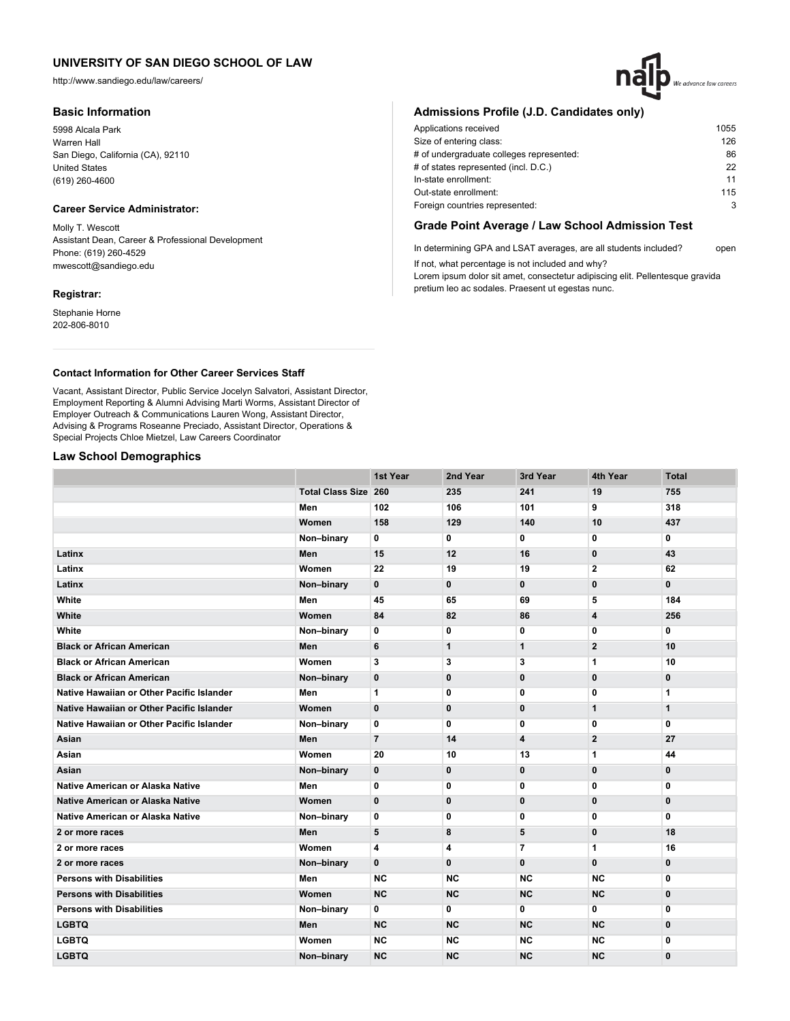http://www.sandiego.edu/law/careers/

### **Basic Information**

5998 Alcala Park Warren Hall San Diego, California (CA), 92110 United States (619) 260-4600

## **Career Service Administrator:**

Molly T. Wescott Assistant Dean, Career & Professional Development Phone: (619) 260-4529 mwescott@sandiego.edu

### **Registrar:**

Stephanie Horne 202-806-8010

# **Admissions Profile (J.D. Candidates only)**

| Applications received                    | 1055 |
|------------------------------------------|------|
| Size of entering class:                  | 126  |
| # of undergraduate colleges represented: | 86   |
| # of states represented (incl. D.C.)     | 22   |
| In-state enrollment:                     | 11   |
| Out-state enrollment:                    | 115  |
| Foreign countries represented:           | 3    |

We advance law careers

## **Grade Point Average / Law School Admission Test**

In determining GPA and LSAT averages, are all students included? open If not, what percentage is not included and why?

Lorem ipsum dolor sit amet, consectetur adipiscing elit. Pellentesque gravida pretium leo ac sodales. Praesent ut egestas nunc.

### **Contact Information for Other Career Services Staff**

Vacant, Assistant Director, Public Service Jocelyn Salvatori, Assistant Director, Employment Reporting & Alumni Advising Marti Worms, Assistant Director of Employer Outreach & Communications Lauren Wong, Assistant Director, Advising & Programs Roseanne Preciado, Assistant Director, Operations & Special Projects Chloe Mietzel, Law Careers Coordinator

## **Law School Demographics**

|                                           |                             | 1st Year       | 2nd Year     | 3rd Year     | 4th Year       | <b>Total</b> |
|-------------------------------------------|-----------------------------|----------------|--------------|--------------|----------------|--------------|
|                                           | <b>Total Class Size 260</b> |                | 235          | 241          | 19             | 755          |
|                                           | Men                         | 102            | 106          | 101          | 9              | 318          |
|                                           | Women                       | 158            | 129          | 140          | 10             | 437          |
|                                           | Non-binary                  | 0              | 0            | 0            | 0              | 0            |
| Latinx                                    | Men                         | 15             | 12           | 16           | $\mathbf 0$    | 43           |
| Latinx                                    | Women                       | 22             | 19           | 19           | $\overline{2}$ | 62           |
| Latinx                                    | Non-binary                  | $\mathbf{0}$   | $\mathbf 0$  | $\mathbf{0}$ | 0              | 0            |
| White                                     | Men                         | 45             | 65           | 69           | 5              | 184          |
| White                                     | Women                       | 84             | 82           | 86           | 4              | 256          |
| White                                     | Non-binary                  | 0              | 0            | 0            | 0              | 0            |
| <b>Black or African American</b>          | Men                         | 6              | $\mathbf{1}$ | $\mathbf{1}$ | $\mathbf{2}$   | 10           |
| <b>Black or African American</b>          | Women                       | 3              | 3            | 3            | 1              | 10           |
| <b>Black or African American</b>          | Non-binary                  | 0              | $\bf{0}$     | $\bf{0}$     | $\mathbf{0}$   | 0            |
| Native Hawaiian or Other Pacific Islander | Men                         | 1              | 0            | 0            | $\mathbf 0$    | 1            |
| Native Hawaiian or Other Pacific Islander | Women                       | $\bf{0}$       | $\mathbf 0$  | $\bf{0}$     | $\mathbf{1}$   | 1            |
| Native Hawaiian or Other Pacific Islander | Non-binary                  | 0              | 0            | 0            | 0              | 0            |
| Asian                                     | Men                         | $\overline{7}$ | 14           | 4            | $\mathbf{2}$   | 27           |
| Asian                                     | Women                       | 20             | 10           | 13           | 1              | 44           |
| Asian                                     | Non-binary                  | 0              | $\bf{0}$     | $\mathbf{0}$ | $\mathbf 0$    | 0            |
| Native American or Alaska Native          | Men                         | 0              | 0            | 0            | 0              | 0            |
| <b>Native American or Alaska Native</b>   | Women                       | $\mathbf{0}$   | $\mathbf 0$  | $\mathbf{0}$ | $\mathbf 0$    | $\mathbf{0}$ |
| <b>Native American or Alaska Native</b>   | Non-binary                  | 0              | 0            | 0            | 0              | 0            |
| 2 or more races                           | Men                         | 5              | 8            | 5            | $\mathbf 0$    | 18           |
| 2 or more races                           | Women                       | 4              | 4            | 7            | 1              | 16           |
| 2 or more races                           | Non-binary                  | $\mathbf{0}$   | $\mathbf{0}$ | $\mathbf{0}$ | $\bf{0}$       | $\mathbf{0}$ |
| <b>Persons with Disabilities</b>          | Men                         | NC.            | <b>NC</b>    | <b>NC</b>    | <b>NC</b>      | 0            |
| <b>Persons with Disabilities</b>          | Women                       | <b>NC</b>      | <b>NC</b>    | <b>NC</b>    | <b>NC</b>      | 0            |
| <b>Persons with Disabilities</b>          | Non-binary                  | 0              | 0            | 0            | 0              | 0            |
| <b>LGBTQ</b>                              | Men                         | <b>NC</b>      | <b>NC</b>    | <b>NC</b>    | <b>NC</b>      | $\mathbf 0$  |
| <b>LGBTQ</b>                              | Women                       | <b>NC</b>      | <b>NC</b>    | <b>NC</b>    | <b>NC</b>      | 0            |
| <b>LGBTQ</b>                              | Non-binary                  | <b>NC</b>      | <b>NC</b>    | <b>NC</b>    | <b>NC</b>      | 0            |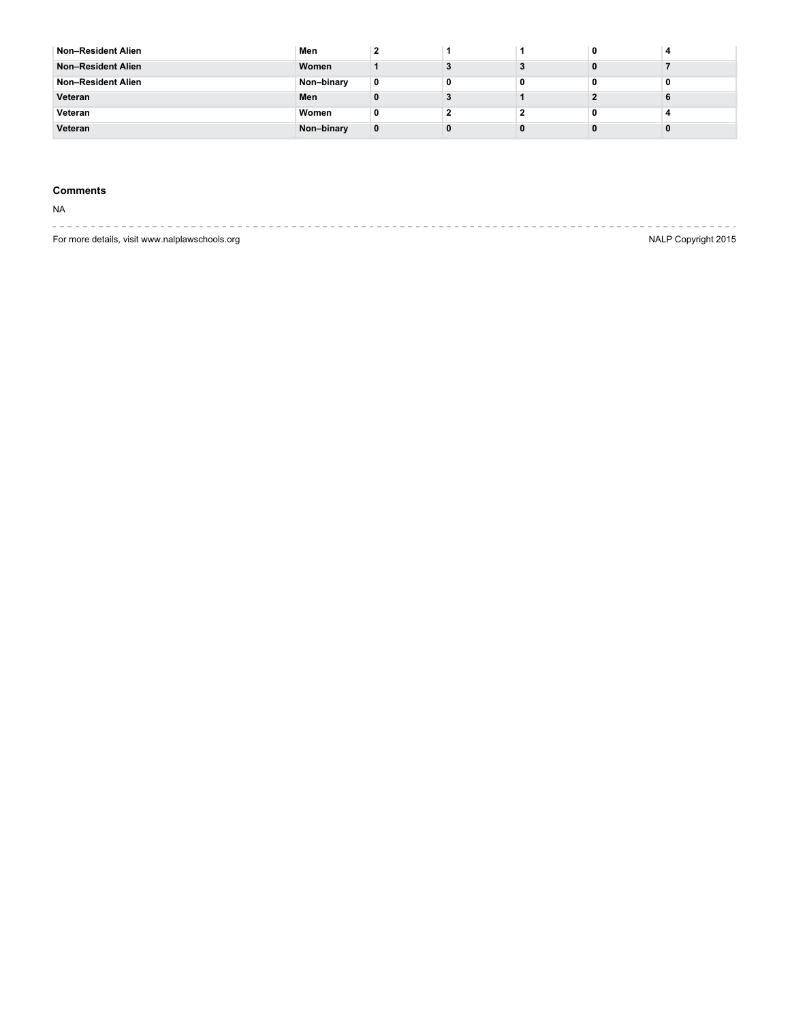| Non-Resident Alien | Men        |   |   |  |  |
|--------------------|------------|---|---|--|--|
| Non-Resident Alien | Women      |   |   |  |  |
| Non-Resident Alien | Non-binary | 0 | 0 |  |  |
| Veteran            | Men        |   |   |  |  |
| Veteran            | Women      | 0 |   |  |  |
| Veteran            | Non-binary | 0 |   |  |  |

## **Comments**

NA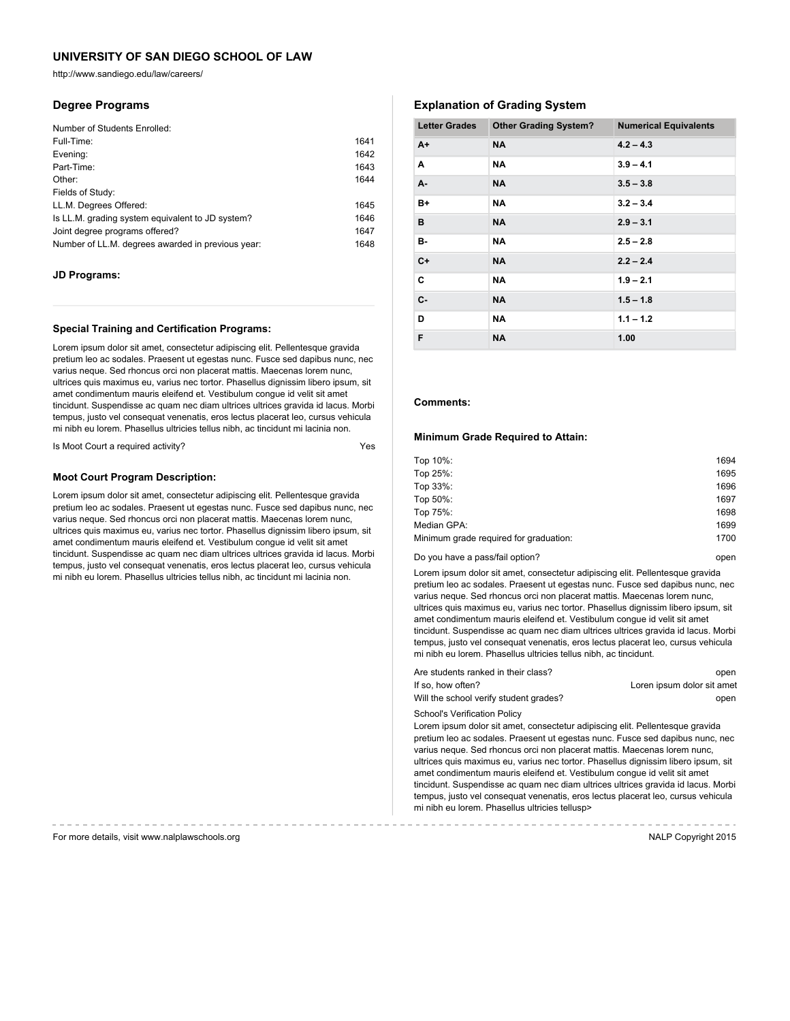http://www.sandiego.edu/law/careers/

### **Degree Programs**

| Number of Students Enrolled:                      |      |
|---------------------------------------------------|------|
| Full-Time:                                        | 1641 |
| Evening:                                          | 1642 |
| Part-Time:                                        | 1643 |
| Other:                                            | 1644 |
| Fields of Study:                                  |      |
| LL.M. Degrees Offered:                            | 1645 |
| Is LL.M. grading system equivalent to JD system?  | 1646 |
| Joint degree programs offered?                    | 1647 |
| Number of LL.M. degrees awarded in previous year: | 1648 |

#### **JD Programs:**

#### **Special Training and Certification Programs:**

Lorem ipsum dolor sit amet, consectetur adipiscing elit. Pellentesque gravida pretium leo ac sodales. Praesent ut egestas nunc. Fusce sed dapibus nunc, nec varius neque. Sed rhoncus orci non placerat mattis. Maecenas lorem nunc, ultrices quis maximus eu, varius nec tortor. Phasellus dignissim libero ipsum, sit amet condimentum mauris eleifend et. Vestibulum congue id velit sit amet tincidunt. Suspendisse ac quam nec diam ultrices ultrices gravida id lacus. Morbi tempus, justo vel consequat venenatis, eros lectus placerat leo, cursus vehicula mi nibh eu lorem. Phasellus ultricies tellus nibh, ac tincidunt mi lacinia non.

Is Moot Court a required activity?

#### **Moot Court Program Description:**

Lorem ipsum dolor sit amet, consectetur adipiscing elit. Pellentesque gravida pretium leo ac sodales. Praesent ut egestas nunc. Fusce sed dapibus nunc, nec varius neque. Sed rhoncus orci non placerat mattis. Maecenas lorem nunc, ultrices quis maximus eu, varius nec tortor. Phasellus dignissim libero ipsum, sit amet condimentum mauris eleifend et. Vestibulum congue id velit sit amet tincidunt. Suspendisse ac quam nec diam ultrices ultrices gravida id lacus. Morbi tempus, justo vel consequat venenatis, eros lectus placerat leo, cursus vehicula mi nibh eu lorem. Phasellus ultricies tellus nibh, ac tincidunt mi lacinia non.

## **Explanation of Grading System**

| <b>Letter Grades</b> | <b>Other Grading System?</b> | <b>Numerical Equivalents</b> |
|----------------------|------------------------------|------------------------------|
| $A+$                 | <b>NA</b>                    | $4.2 - 4.3$                  |
| A                    | <b>NA</b>                    | $3.9 - 4.1$                  |
| A-                   | <b>NA</b>                    | $3.5 - 3.8$                  |
| B+                   | <b>NA</b>                    | $3.2 - 3.4$                  |
| в                    | <b>NA</b>                    | $2.9 - 3.1$                  |
| в-                   | <b>NA</b>                    | $2.5 - 2.8$                  |
| $C+$                 | <b>NA</b>                    | $2.2 - 2.4$                  |
| C                    | <b>NA</b>                    | $1.9 - 2.1$                  |
| $C -$                | <b>NA</b>                    | $1.5 - 1.8$                  |
| D                    | <b>NA</b>                    | $1.1 - 1.2$                  |
| F                    | <b>NA</b>                    | 1.00                         |

#### **Comments:**

#### **Minimum Grade Required to Attain:**

| Top 10%:                               | 1694 |
|----------------------------------------|------|
| Top 25%:                               | 1695 |
| Top 33%:                               | 1696 |
| Top 50%:                               | 1697 |
| Top 75%:                               | 1698 |
| Median GPA:                            | 1699 |
| Minimum grade required for graduation: | 1700 |
|                                        |      |

Do you have a pass/fail option? The control open by the control open by the control open

Lorem ipsum dolor sit amet, consectetur adipiscing elit. Pellentesque gravida pretium leo ac sodales. Praesent ut egestas nunc. Fusce sed dapibus nunc, nec varius neque. Sed rhoncus orci non placerat mattis. Maecenas lorem nunc, ultrices quis maximus eu, varius nec tortor. Phasellus dignissim libero ipsum, sit amet condimentum mauris eleifend et. Vestibulum congue id velit sit amet tincidunt. Suspendisse ac quam nec diam ultrices ultrices gravida id lacus. Morbi tempus, justo vel consequat venenatis, eros lectus placerat leo, cursus vehicula mi nibh eu lorem. Phasellus ultricies tellus nibh, ac tincidunt.

| Are students ranked in their class?    | open                       |
|----------------------------------------|----------------------------|
| If so. how often?                      | Loren ipsum dolor sit amet |
| Will the school verify student grades? | open                       |

School's Verification Policy

Lorem ipsum dolor sit amet, consectetur adipiscing elit. Pellentesque gravida pretium leo ac sodales. Praesent ut egestas nunc. Fusce sed dapibus nunc, nec varius neque. Sed rhoncus orci non placerat mattis. Maecenas lorem nunc, ultrices quis maximus eu, varius nec tortor. Phasellus dignissim libero ipsum, sit amet condimentum mauris eleifend et. Vestibulum congue id velit sit amet tincidunt. Suspendisse ac quam nec diam ultrices ultrices gravida id lacus. Morbi tempus, justo vel consequat venenatis, eros lectus placerat leo, cursus vehicula mi nibh eu lorem. Phasellus ultricies tellusp>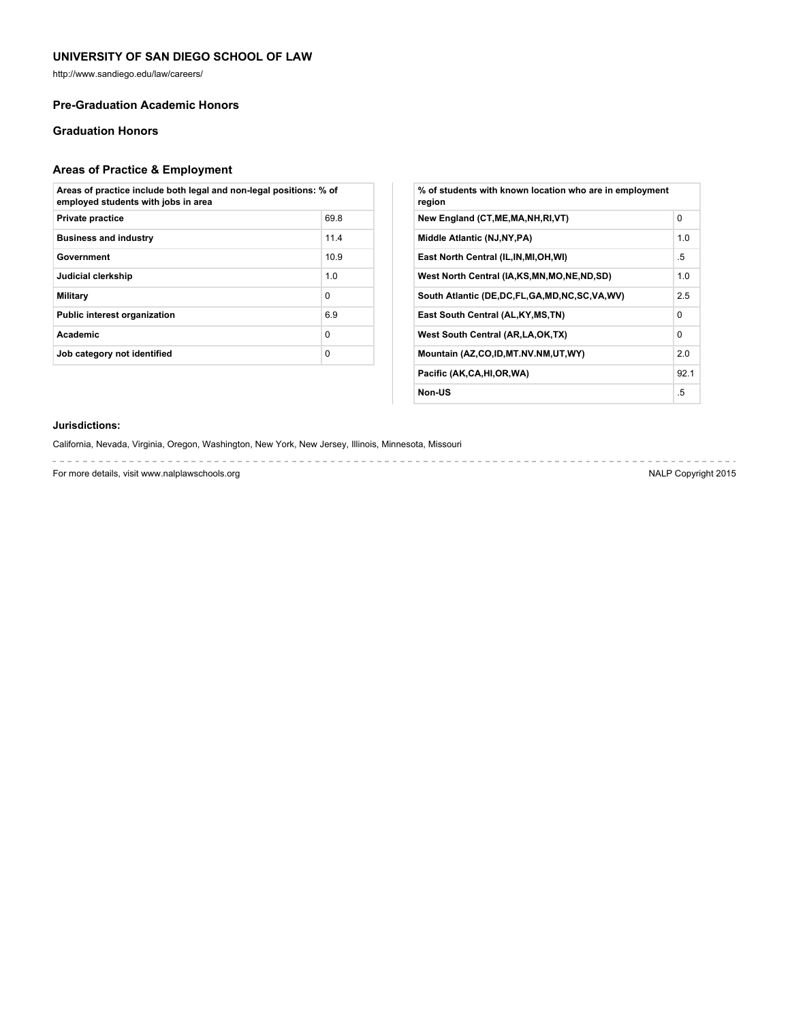http://www.sandiego.edu/law/careers/

## **Pre-Graduation Academic Honors**

## **Graduation Honors**

# **Areas of Practice & Employment**

| Areas of practice include both legal and non-legal positions: % of<br>employed students with jobs in area |          |
|-----------------------------------------------------------------------------------------------------------|----------|
| <b>Private practice</b>                                                                                   | 69.8     |
| <b>Business and industry</b>                                                                              | 11.4     |
| Government                                                                                                | 10.9     |
| Judicial clerkship                                                                                        | 1.0      |
| Military                                                                                                  | $\Omega$ |
| <b>Public interest organization</b>                                                                       | 6.9      |
| Academic                                                                                                  | $\Omega$ |
| Job category not identified                                                                               | $\Omega$ |

| % of students with known location who are in employment<br>region |          |
|-------------------------------------------------------------------|----------|
| New England (CT, ME, MA, NH, RI, VT)                              | $\Omega$ |
| Middle Atlantic (NJ, NY, PA)                                      | 1.0      |
| East North Central (IL, IN, MI, OH, WI)                           | .5       |
| West North Central (IA,KS,MN,MO,NE,ND,SD)                         | 1.0      |
| South Atlantic (DE, DC, FL, GA, MD, NC, SC, VA, WV)               | 2.5      |
| East South Central (AL, KY, MS, TN)                               | $\Omega$ |
| West South Central (AR, LA, OK, TX)                               | 0        |
| Mountain (AZ,CO,ID,MT.NV.NM,UT,WY)                                | 2.0      |
| Pacific (AK,CA,HI,OR,WA)                                          | 92.1     |
| Non-US                                                            | .5       |

### **Jurisdictions:**

California, Nevada, Virginia, Oregon, Washington, New York, New Jersey, Illinois, Minnesota, Missouri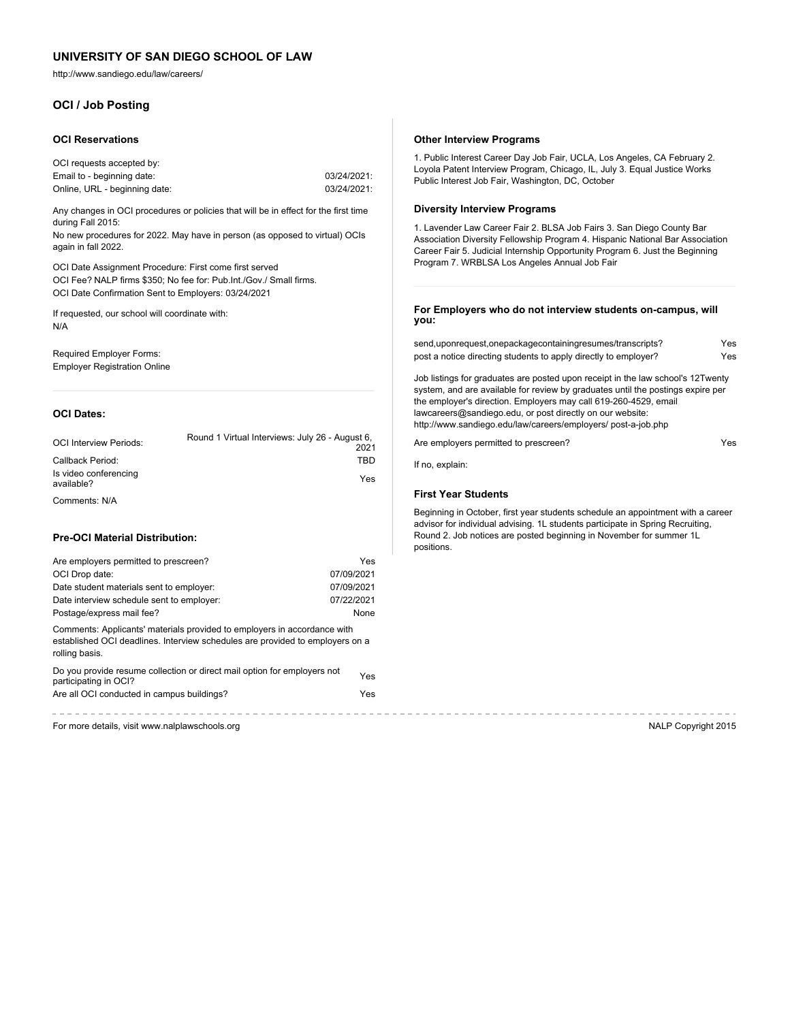http://www.sandiego.edu/law/careers/

## **OCI / Job Posting**

#### **OCI Reservations**

| OCI requests accepted by:     |             |
|-------------------------------|-------------|
| Email to - beginning date:    | 03/24/2021: |
| Online, URL - beginning date: | 03/24/2021: |

Any changes in OCI procedures or policies that will be in effect for the first time during Fall 2015:

No new procedures for 2022. May have in person (as opposed to virtual) OCIs again in fall 2022.

OCI Date Assignment Procedure: First come first served OCI Fee? NALP firms \$350; No fee for: Pub.Int./Gov./ Small firms. OCI Date Confirmation Sent to Employers: 03/24/2021

If requested, our school will coordinate with: N/A

Required Employer Forms: Employer Registration Online

#### **OCI Dates:**

| <b>OCI Interview Periods:</b>       | Round 1 Virtual Interviews: July 26 - August 6,<br>2021 |
|-------------------------------------|---------------------------------------------------------|
| Callback Period:                    | TBD                                                     |
| Is video conferencing<br>available? | Yes                                                     |
| Comments: N/A                       |                                                         |

#### **Pre-OCI Material Distribution:**

| Are employers permitted to prescreen?     | Yes        |
|-------------------------------------------|------------|
| OCI Drop date:                            | 07/09/2021 |
| Date student materials sent to employer:  | 07/09/2021 |
| Date interview schedule sent to employer: | 07/22/2021 |
| Postage/express mail fee?                 | None       |

Comments: Applicants' materials provided to employers in accordance with established OCI deadlines. Interview schedules are provided to employers on a rolling basis.

| Do you provide resume collection or direct mail option for employers not | Yes |
|--------------------------------------------------------------------------|-----|
| participating in OCI?                                                    |     |
| Are all OCI conducted in campus buildings?                               | Yes |

## **Other Interview Programs**

1. Public Interest Career Day Job Fair, UCLA, Los Angeles, CA February 2. Loyola Patent Interview Program, Chicago, IL, July 3. Equal Justice Works Public Interest Job Fair, Washington, DC, October

#### **Diversity Interview Programs**

1. Lavender Law Career Fair 2. BLSA Job Fairs 3. San Diego County Bar Association Diversity Fellowship Program 4. Hispanic National Bar Association Career Fair 5. Judicial Internship Opportunity Program 6. Just the Beginning Program 7. WRBLSA Los Angeles Annual Job Fair

#### **For Employers who do not interview students on-campus, will you:**

| send,uponrequest,onepackagecontainingresumes/transcripts?       | Yes |
|-----------------------------------------------------------------|-----|
| post a notice directing students to apply directly to employer? | Yes |

Job listings for graduates are posted upon receipt in the law school's 12Twenty system, and are available for review by graduates until the postings expire per the employer's direction. Employers may call 619-260-4529, email lawcareers@sandiego.edu, or post directly on our website: http://www.sandiego.edu/law/careers/employers/ post-a-job.php

Are employers permitted to prescreen?

If no, explain:

------------

#### **First Year Students**

Beginning in October, first year students schedule an appointment with a career advisor for individual advising. 1L students participate in Spring Recruiting, Round 2. Job notices are posted beginning in November for summer 1L positions.